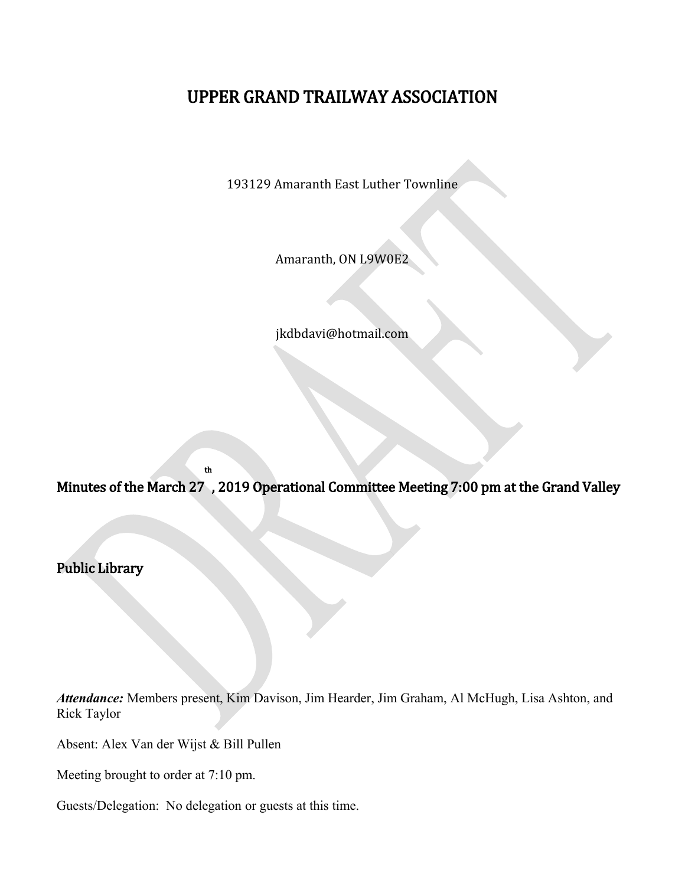# UPPER GRAND TRAILWAY ASSOCIATION

193129 Amaranth East Luther Townline

Amaranth, ON L9W0E2

jkdbdavi@hotmail.com

Minutes of the March 27 , 2019 Operational Committee Meeting 7:00 pm at the Grand Valley

Public Library

*Attendance:* Members present, Kim Davison, Jim Hearder, Jim Graham, Al McHugh, Lisa Ashton, and Rick Taylor

Absent: Alex Van der Wijst & Bill Pullen

Meeting brought to order at 7:10 pm.

Guests/Delegation: No delegation or guests at this time.

th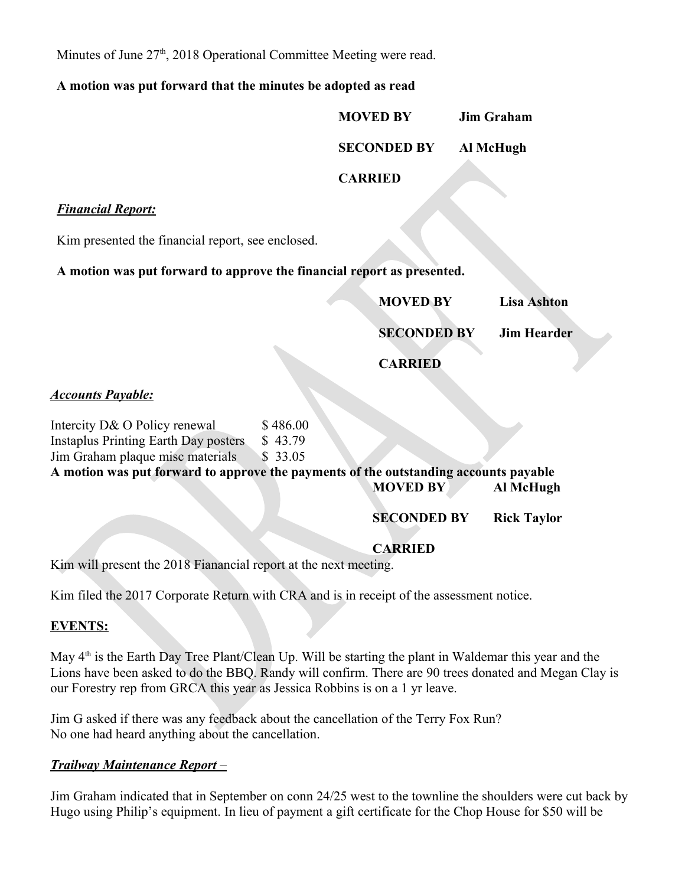Minutes of June 27<sup>th</sup>, 2018 Operational Committee Meeting were read.

### **A motion was put forward that the minutes be adopted as read**

**MOVED BY Jim Graham SECONDED BY Al McHugh** 

**CARRIED**

### *Financial Report:*

Kim presented the financial report, see enclosed.

**A motion was put forward to approve the financial report as presented.**

**MOVED BY Lisa Ashton**

**SECONDED BY Jim Hearder**

**CARRIED**

# *Accounts Payable:*

| Intercity D& O Policy renewal                                                        | \$486.00 |  |                 |           |  |
|--------------------------------------------------------------------------------------|----------|--|-----------------|-----------|--|
| <b>Instaplus Printing Earth Day posters</b>                                          | \$43.79  |  |                 |           |  |
| Jim Graham plaque misc materials                                                     | \$33.05  |  |                 |           |  |
| A motion was put forward to approve the payments of the outstanding accounts payable |          |  |                 |           |  |
|                                                                                      |          |  | <b>MOVED BY</b> | Al McHugh |  |

**SECONDED BY Rick Taylor**

**CARRIED**

Kim will present the 2018 Fianancial report at the next meeting.

Kim filed the 2017 Corporate Return with CRA and is in receipt of the assessment notice.

# **EVENTS:**

May 4<sup>th</sup> is the Earth Day Tree Plant/Clean Up. Will be starting the plant in Waldemar this year and the Lions have been asked to do the BBQ. Randy will confirm. There are 90 trees donated and Megan Clay is our Forestry rep from GRCA this year as Jessica Robbins is on a 1 yr leave.

Jim G asked if there was any feedback about the cancellation of the Terry Fox Run? No one had heard anything about the cancellation.

# *Trailway Maintenance Report –*

Jim Graham indicated that in September on conn 24/25 west to the townline the shoulders were cut back by Hugo using Philip's equipment. In lieu of payment a gift certificate for the Chop House for \$50 will be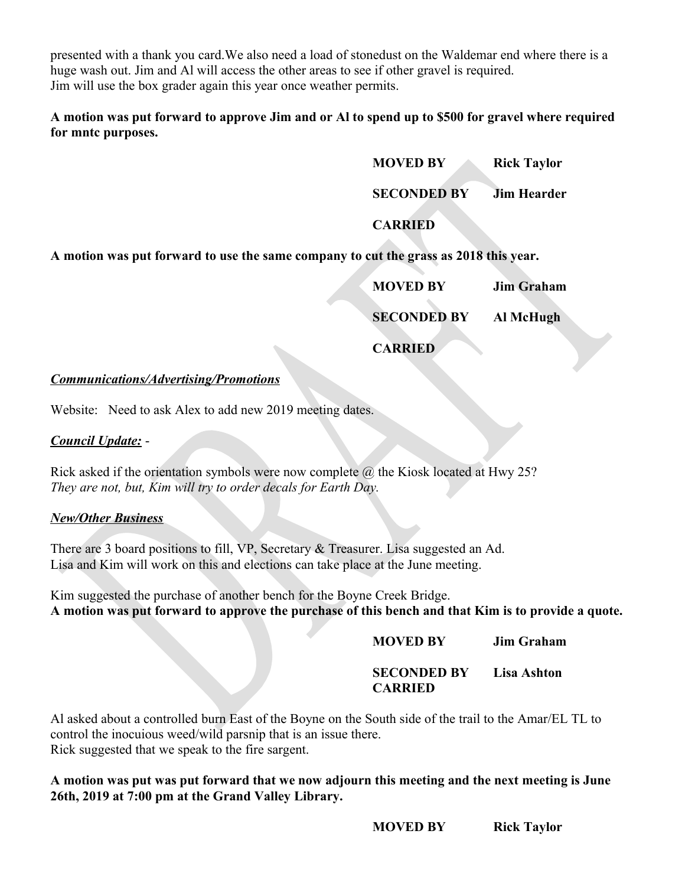presented with a thank you card.We also need a load of stonedust on the Waldemar end where there is a huge wash out. Jim and Al will access the other areas to see if other gravel is required. Jim will use the box grader again this year once weather permits.

**A motion was put forward to approve Jim and or Al to spend up to \$500 for gravel where required for mntc purposes.** 

**MOVED BY Rick Taylor**

**SECONDED BY Jim Hearder**

**CARRIED**

**A motion was put forward to use the same company to cut the grass as 2018 this year.**

| <b>MOVED BY</b>    | <b>Jim Graham</b> |
|--------------------|-------------------|
| <b>SECONDED BY</b> | Al McHugh         |
| <b>CARRIED</b>     |                   |

#### *Communications/Advertising/Promotions*

Website: Need to ask Alex to add new 2019 meeting dates.

# *Council Update:* -

Rick asked if the orientation symbols were now complete  $\omega$  the Kiosk located at Hwy 25? *They are not, but, Kim will try to order decals for Earth Day.*

# *New/Other Business*

There are 3 board positions to fill, VP, Secretary & Treasurer. Lisa suggested an Ad. Lisa and Kim will work on this and elections can take place at the June meeting.

Kim suggested the purchase of another bench for the Boyne Creek Bridge. **A motion was put forward to approve the purchase of this bench and that Kim is to provide a quote.** 

**MOVED BY Jim Graham**

**SECONDED BY Lisa Ashton CARRIED**

Al asked about a controlled burn East of the Boyne on the South side of the trail to the Amar/EL TL to control the inocuious weed/wild parsnip that is an issue there. Rick suggested that we speak to the fire sargent.

**A motion was put was put forward that we now adjourn this meeting and the next meeting is June 26th, 2019 at 7:00 pm at the Grand Valley Library.**

**MOVED BY Rick Taylor**